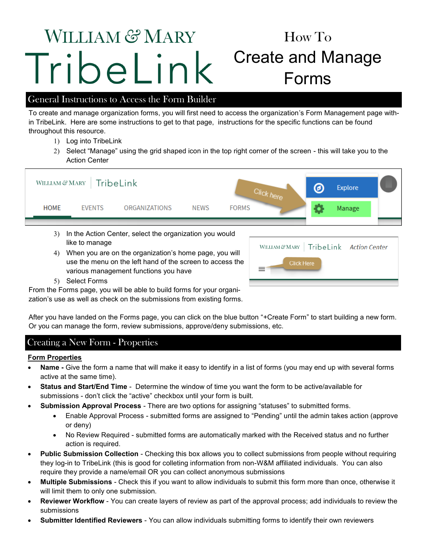# WILLIAM & MARY TribeLink

# How To Create and Manage Forms

# General Instructions to Access the Form Builder

To create and manage organization forms, you will first need to access the organization's Form Management page within TribeLink. Here are some instructions to get to that page, instructions for the specific functions can be found throughout this resource.

- 1) Log into TribeLink
- Select "Manage" using the grid shaped icon in the top right corner of the screen this will take you to the Action Center



- like to manage
- When you are on the organization's home page, you will use the menu on the left hand of the screen to access the various management functions you have
- WILLIAM & MARY | TribeLink Action Center **Click Here**

5) Select Forms

From the Forms page, you will be able to build forms for your organization's use as well as check on the submissions from existing forms.

After you have landed on the Forms page, you can click on the blue button "+Create Form" to start building a new form. Or you can manage the form, review submissions, approve/deny submissions, etc.

# Creating a New Form - Properties

#### **Form Properties**

- **Name -** Give the form a name that will make it easy to identify in a list of forms (you may end up with several forms active at the same time).
- **Status and Start/End Time**  Determine the window of time you want the form to be active/available for submissions - don't click the "active" checkbox until your form is built.
- **Submission Approval Process** There are two options for assigning "statuses" to submitted forms.
	- Enable Approval Process submitted forms are assigned to "Pending" until the admin takes action (approve or deny)
	- No Review Required submitted forms are automatically marked with the Received status and no further action is required.
- **Public Submission Collection** Checking this box allows you to collect submissions from people without requiring they log-in to TribeLink (this is good for colleting information from non-W&M affiliated individuals. You can also require they provide a name/email OR you can collect anonymous submissions
- **Multiple Submissions**  Check this if you want to allow individuals to submit this form more than once, otherwise it will limit them to only one submission.
- **Reviewer Workflow**  You can create layers of review as part of the approval process; add individuals to review the submissions
- **Submitter Identified Reviewers**  You can allow individuals submitting forms to identify their own reviewers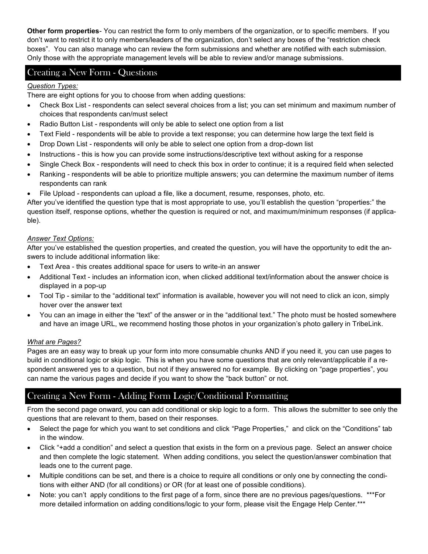**Other form properties**- You can restrict the form to only members of the organization, or to specific members. If you don't want to restrict it to only members/leaders of the organization, don't select any boxes of the "restriction check boxes". You can also manage who can review the form submissions and whether are notified with each submission. Only those with the appropriate management levels will be able to review and/or manage submissions.

## Creating a New Form - Questions

#### *Question Types:*

There are eight options for you to choose from when adding questions:

- Check Box List respondents can select several choices from a list; you can set minimum and maximum number of choices that respondents can/must select
- Radio Button List respondents will only be able to select one option from a list
- Text Field respondents will be able to provide a text response; you can determine how large the text field is
- Drop Down List respondents will only be able to select one option from a drop-down list
- Instructions this is how you can provide some instructions/descriptive text without asking for a response
- Single Check Box respondents will need to check this box in order to continue; it is a required field when selected
- Ranking respondents will be able to prioritize multiple answers; you can determine the maximum number of items respondents can rank
- File Upload respondents can upload a file, like a document, resume, responses, photo, etc.

After you've identified the question type that is most appropriate to use, you'll establish the question "properties:" the question itself, response options, whether the question is required or not, and maximum/minimum responses (if applicable).

#### *Answer Text Options:*

After you've established the question properties, and created the question, you will have the opportunity to edit the answers to include additional information like:

- Text Area this creates additional space for users to write-in an answer
- Additional Text includes an information icon, when clicked additional text/information about the answer choice is displayed in a pop-up
- Tool Tip similar to the "additional text" information is available, however you will not need to click an icon, simply hover over the answer text
- You can an image in either the "text" of the answer or in the "additional text." The photo must be hosted somewhere and have an image URL, we recommend hosting those photos in your organization's photo gallery in TribeLink.

#### *What are Pages?*

Pages are an easy way to break up your form into more consumable chunks AND if you need it, you can use pages to build in conditional logic or skip logic. This is when you have some questions that are only relevant/applicable if a respondent answered yes to a question, but not if they answered no for example. By clicking on "page properties", you can name the various pages and decide if you want to show the "back button" or not.

# Creating a New Form - Adding Form Logic/Conditional Formatting

From the second page onward, you can add conditional or skip logic to a form. This allows the submitter to see only the questions that are relevant to them, based on their responses.

- Select the page for which you want to set conditions and click "Page Properties," and click on the "Conditions" tab in the window.
- Click "+add a condition" and select a question that exists in the form on a previous page. Select an answer choice and then complete the logic statement. When adding conditions, you select the question/answer combination that leads one to the current page.
- Multiple conditions can be set, and there is a choice to require all conditions or only one by connecting the conditions with either AND (for all conditions) or OR (for at least one of possible conditions).
- Note: you can't apply conditions to the first page of a form, since there are no previous pages/questions. \*\*\*For more detailed information on adding conditions/logic to your form, please visit the Engage Help Center.\*\*\*